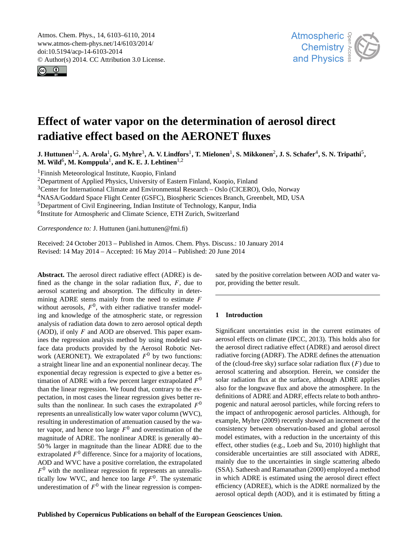<span id="page-0-0"></span>Atmos. Chem. Phys., 14, 6103–6110, 2014 www.atmos-chem-phys.net/14/6103/2014/ doi:10.5194/acp-14-6103-2014 © Author(s) 2014. CC Attribution 3.0 License.





# **Effect of water vapor on the determination of aerosol direct radiative effect based on the AERONET fluxes**

 $\bf J$ . Huttunen<sup>1,2</sup>, A. Arola<sup>1</sup>, G. Myhre<sup>3</sup>, A. V. Lindfors<sup>1</sup>, T. Mielonen<sup>1</sup>, S. Mikkonen<sup>2</sup>, J. S. Schafer<sup>4</sup>, S. N. Tripathi<sup>5</sup>,  $\mathbf{M}.$  Wild $^6$ ,  $\mathbf{M}.$  Komppula $^1,$  and  $\mathbf{K}.$  **E. J. Lehtinen** $^{1,2}$ 

<sup>1</sup>Finnish Meteorological Institute, Kuopio, Finland

<sup>2</sup>Department of Applied Physics, University of Eastern Finland, Kuopio, Finland

<sup>3</sup>Center for International Climate and Environmental Research – Oslo (CICERO), Oslo, Norway

<sup>4</sup>NASA/Goddard Space Flight Center (GSFC), Biospheric Sciences Branch, Greenbelt, MD, USA

<sup>5</sup>Department of Civil Engineering, Indian Institute of Technology, Kanpur, India

<sup>6</sup>Institute for Atmospheric and Climate Science, ETH Zurich, Switzerland

*Correspondence to:* J. Huttunen (jani.huttunen@fmi.fi)

Received: 24 October 2013 – Published in Atmos. Chem. Phys. Discuss.: 10 January 2014 Revised: 14 May 2014 – Accepted: 16 May 2014 – Published: 20 June 2014

**Abstract.** The aerosol direct radiative effect (ADRE) is defined as the change in the solar radiation flux,  $F$ , due to aerosol scattering and absorption. The difficulty in determining ADRE stems mainly from the need to estimate  $F$ without aerosols,  $F^0$ , with either radiative transfer modeling and knowledge of the atmospheric state, or regression analysis of radiation data down to zero aerosol optical depth (AOD), if only  $F$  and AOD are observed. This paper examines the regression analysis method by using modeled surface data products provided by the Aerosol Robotic Network (AERONET). We extrapolated  $F^0$  by two functions: a straight linear line and an exponential nonlinear decay. The exponential decay regression is expected to give a better estimation of ADRE with a few percent larger extrapolated  $F^0$ than the linear regression. We found that, contrary to the expectation, in most cases the linear regression gives better results than the nonlinear. In such cases the extrapolated  $F^0$ represents an unrealistically low water vapor column (WVC), resulting in underestimation of attenuation caused by the water vapor, and hence too large  $F^0$  and overestimation of the magnitude of ADRE. The nonlinear ADRE is generally 40– 50 % larger in magnitude than the linear ADRE due to the extrapolated  $F^0$  difference. Since for a majority of locations, AOD and WVC have a positive correlation, the extrapolated  $F<sup>0</sup>$  with the nonlinear regression fit represents an unrealistically low WVC, and hence too large  $F^0$ . The systematic underestimation of  $F^0$  with the linear regression is compensated by the positive correlation between AOD and water vapor, providing the better result.

## **1 Introduction**

Significant uncertainties exist in the current estimates of aerosol effects on climate (IPCC, 2013). This holds also for the aerosol direct radiative effect (ADRE) and aerosol direct radiative forcing (ADRF). The ADRE defines the attenuation of the (cloud-free sky) surface solar radiation flux  $(F)$  due to aerosol scattering and absorption. Herein, we consider the solar radiation flux at the surface, although ADRE applies also for the longwave flux and above the atmosphere. In the definitions of ADRE and ADRF, effects relate to both anthropogenic and natural aerosol particles, while forcing refers to the impact of anthropogenic aerosol particles. Although, for example, Myhre (2009) recently showed an increment of the consistency between observation-based and global aerosol model estimates, with a reduction in the uncertainty of this effect, other studies (e.g., Loeb and Su, 2010) highlight that considerable uncertainties are still associated with ADRE, mainly due to the uncertainties in single scattering albedo (SSA). Satheesh and Ramanathan (2000) employed a method in which ADRE is estimated using the aerosol direct effect efficiency (ADREE), which is the ADRE normalized by the aerosol optical depth (AOD), and it is estimated by fitting a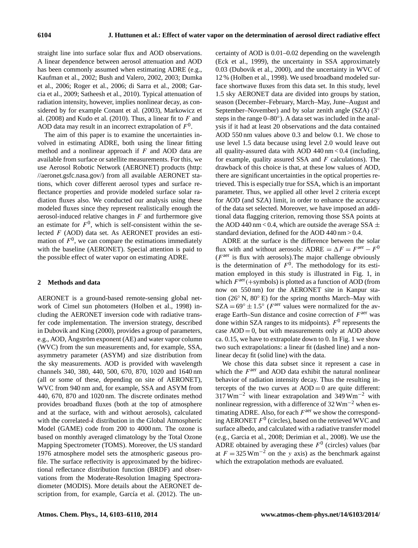straight line into surface solar flux and AOD observations. A linear dependence between aerosol attenuation and AOD has been commonly assumed when estimating ADRE (e.g., Kaufman et al., 2002; Bush and Valero, 2002, 2003; Dumka et al., 2006; Roger et al., 2006; di Sarra et al., 2008; Garcia et al., 2009; Satheesh et al., 2010). Typical attenuation of radiation intensity, however, implies nonlinear decay, as considered by for example Conant et al. (2003), Markowicz et al. (2008) and Kudo et al. (2010). Thus, a linear fit to  $F$  and AOD data may result in an incorrect extrapolation of  $F^0$ .

The aim of this paper is to examine the uncertainties involved in estimating ADRE, both using the linear fitting method and a nonlinear approach if  $F$  and AOD data are available from surface or satellite measurements. For this, we use Aerosol Robotic Network (AERONET) products [\(http:](http://aeronet.gsfc.nasa.gov/) [//aeronet.gsfc.nasa.gov/\)](http://aeronet.gsfc.nasa.gov/) from all available AERONET stations, which cover different aerosol types and surface reflectance properties and provide modeled surface solar radiation fluxes also. We conducted our analysis using these modeled fluxes since they represent realistically enough the aerosol-induced relative changes in  $F$  and furthermore give an estimate for  $F^0$ , which is self-consistent within the selected F (AOD) data set. As AERONET provides an estimation of  $F<sup>0</sup>$ , we can compare the estimations immediately with the baseline (AERONET). Special attention is paid to the possible effect of water vapor on estimating ADRE.

# **2 Methods and data**

AERONET is a ground-based remote-sensing global network of Cimel sun photometers (Holben et al., 1998) including the AERONET inversion code with radiative transfer code implementation. The inversion strategy, described in Dubovik and King (2000), provides a group of parameters, e.g., AOD, Ångström exponent (AE) and water vapor column (WVC) from the sun measurements and, for example, SSA, asymmetry parameter (ASYM) and size distribution from the sky measurements. AOD is provided with wavelength channels 340, 380, 440, 500, 670, 870, 1020 and 1640 nm (all or some of these, depending on site of AERONET), WVC from 940 nm and, for example, SSA and ASYM from 440, 670, 870 and 1020 nm. The discrete ordinates method provides broadband fluxes (both at the top of atmosphere and at the surface, with and without aerosols), calculated with the correlated-k distribution in the Global Atmospheric Model (GAME) code from 200 to 4000 nm. The ozone is based on monthly averaged climatology by the Total Ozone Mapping Spectrometer (TOMS). Moreover, the US standard 1976 atmosphere model sets the atmospheric gaseous profile. The surface reflectivity is approximated by the bidirectional reflectance distribution function (BRDF) and observations from the Moderate-Resolution Imaging Spectroradiometer (MODIS). More details about the AERONET description from, for example, García et al. (2012). The uncertainty of AOD is 0.01–0.02 depending on the wavelength (Eck et al., 1999), the uncertainty in SSA approximately 0.03 (Dubovik et al., 2000), and the uncertainty in WVC of 12 % (Holben et al., 1998). We used broadband modeled surface shortwave fluxes from this data set. In this study, level 1.5 sky AERONET data are divided into groups by station, season (December–February, March–May, June–August and September–November) and by solar zenith angle (SZA) (3<sup>°</sup> steps in the range 0–80°). A data set was included in the analysis if it had at least 20 observations and the data contained AOD 550 nm values above 0.3 and below 0.1. We chose to use level 1.5 data because using level 2.0 would leave out all quality-assured data with AOD 440 nm < 0.4 (including, for example, quality assured SSA and  $F$  calculations). The drawback of this choice is that, at these low values of AOD, there are significant uncertainties in the optical properties retrieved. This is especially true for SSA, which is an important parameter. Thus, we applied all other level 2 criteria except for AOD (and SZA) limit, in order to enhance the accuracy of the data set selected. Moreover, we have imposed an additional data flagging criterion, removing those SSA points at the AOD 440 nm < 0.4, which are outside the average SSA  $\pm$ standard deviation, defined for the AOD 440 nm > 0.4.

ADRE at the surface is the difference between the solar flux with and without aerosols: ADRE =  $\Delta F = F^{\text{aer}} - F^0$ ( $F<sup>a</sup>$  is flux with aerosols). The major challenge obviously is the determination of  $F^0$ . The methodology for its estimation employed in this study is illustrated in Fig. 1, in which  $F^{\text{aer}}$ (+symbols) is plotted as a function of AOD (from now on 550 nm) for the AERONET site in Kanpur station (26 $\degree$  N, 80 $\degree$  E) for the spring months March–May with  $SZA = 69^\circ \pm 1.5^\circ$  (*F*<sup>aer</sup> values were normalized for the average Earth–Sun distance and cosine correction of  $F^{\text{aer}}$  was done within SZA ranges to its midpoints).  $F^0$  represents the case  $AOD = 0$ , but with measurements only at  $AOD$  above ca. 0.15, we have to extrapolate down to 0. In Fig. 1 we show two such extrapolations: a linear fit (dashed line) and a nonlinear decay fit (solid line) with the data.

We chose this data subset since it represent a case in which the  $F^{\text{aer}}$  and AOD data exhibit the natural nonlinear behavior of radiation intensity decay. Thus the resulting intercepts of the two curves at  $AOD = 0$  are quite different:  $317 \text{ Wm}^{-2}$  with linear extrapolation and 349 Wm<sup>-2</sup> with nonlinear regression, with a difference of  $32 \text{ Wm}^{-2}$  when estimating ADRE. Also, for each  $F<sup>a</sup>$  we show the corresponding AERONET  $F^0$  (circles), based on the retrieved WVC and surface albedo, and calculated with a radiative transfer model (e.g., Garcia et al., 2008; Derimian et al., 2008). We use the ADRE obtained by averaging these  $F^0$  (circles) values (bar at  $F = 325 \text{ Wm}^{-2}$  on the y axis) as the benchmark against which the extrapolation methods are evaluated.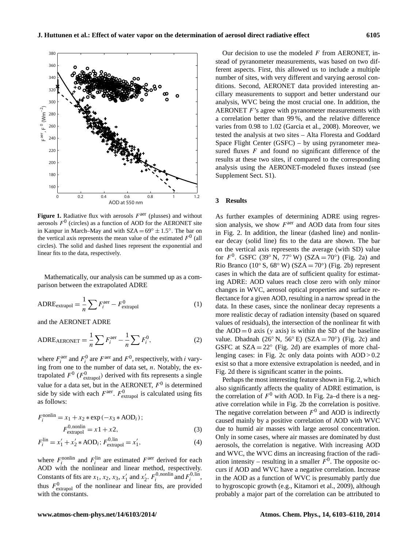

**Figure 1.** Radiative flux with aerosols  $F^{\text{aer}}$  (plusses) and without aerosols  $F^0$  (circles) as a function of AOD for the AERONET site in Kanpur in March–May and with  $SZA = 69^\circ \pm 1.5^\circ$ . The bar on the vertical axis represents the mean value of the estimated  $F^0$  (all circles). The solid and dashed lines represent the exponential and linear fits to the data, respectively.

Mathematically, our analysis can be summed up as a comparison between the extrapolated ADRE

$$
ADRE_{\text{extrapol}} = \frac{1}{n} \sum F_i^{\text{aer}} - F_{\text{extrapol}}^0 \tag{1}
$$

and the AERONET ADRE

$$
ADRE_{AERONET} = \frac{1}{n} \sum F_i^{aer} - \frac{1}{n} \sum F_i^0,
$$
 (2)

where  $F_i^{\text{aer}}$  and  $F_i^0$  are  $F^{\text{aer}}$  and  $F^0$ , respectively, with *i* varying from one to the number of data set,  $n$ . Notably, the extrapolated  $F^0$  ( $F^0$ <sub>extrapol</sub>) derived with fits represents a single value for a data set, but in the AERONET,  $F^0$  is determined side by side with each  $F^{\text{aer}}$ .  $F^0_{\text{extrapol}}$  is calculated using fits as follows:

$$
F_i^{\text{nonlin}} = x_1 + x_2 \ast \exp(-x_3 \ast \text{AOD}_i);
$$
  
\n
$$
F_{\text{extrapol}}^{0,\text{nonlin}} = x_1 + x_2,
$$
 (3)

$$
F_i^{\text{lin}} = x_1' + x_2' * \text{AOD}_i; F_{\text{extrapol}}^{0,\text{lin}} = x_1',\tag{4}
$$

where  $F_i^{\text{nonlin}}$  and  $F_i^{\text{lin}}$  are estimated  $F^{\text{aer}}$  derived for each AOD with the nonlinear and linear method, respectively. Constants of fits are  $x_1, x_2, x_3, x'_1$  and  $x'_2$ .  $F_i^{0, \text{nonlin}}$  and  $F_i^{0, \text{lin}}$ , thus  $F_{\text{extrapol}}^0$  of the nonlinear and linear fits, are provided with the constants.

Our decision to use the modeled  $F$  from AERONET, instead of pyranometer measurements, was based on two different aspects. First, this allowed us to include a multiple number of sites, with very different and varying aerosol conditions. Second, AERONET data provided interesting ancillary measurements to support and better understand our analysis, WVC being the most crucial one. In addition, the AERONET  $F$ 's agree with pyranometer measurements with a correlation better than 99 %, and the relative difference varies from 0.98 to 1.02 (Garcia et al., 2008). Moreover, we tested the analysis at two sites – Alta Floresta and Goddard Space Flight Center (GSFC) – by using pyranometer measured fluxes  $F$  and found no significant difference of the results at these two sites, if compared to the corresponding analysis using the AERONET-modeled fluxes instead (see Supplement Sect. S1).

#### **3 Results**

As further examples of determining ADRE using regression analysis, we show  $F^{\text{aer}}$  and AOD data from four sites in Fig. 2. In addition, the linear (dashed line) and nonlinear decay (solid line) fits to the data are shown. The bar on the vertical axis represents the average (with SD) value for  $F^0$ . GSFC (39° N, 77° W) (SZA = 70°) (Fig. 2a) and Rio Branco (10° S, 68° W) (SZA = 70°) (Fig. 2b) represent cases in which the data are of sufficient quality for estimating ADRE: AOD values reach close zero with only minor changes in WVC, aerosol optical properties and surface reflectance for a given AOD, resulting in a narrow spread in the data. In these cases, since the nonlinear decay represents a more realistic decay of radiation intensity (based on squared values of residuals), the intersection of the nonlinear fit with the  $AOD = 0$  axis (y axis) is within the SD of the baseline value. Dhadnah (26° N, 56° E) (SZA = 70°) (Fig. 2c) and GSFC at  $SZA = 22^{\circ}$  (Fig. 2d) are examples of more challenging cases: in Fig. 2c only data points with  $AOD > 0.2$ exist so that a more extensive extrapolation is needed, and in Fig. 2d there is significant scatter in the points.

Perhaps the most interesting feature shown in Fig. 2, which also significantly affects the quality of ADRE estimation, is the correlation of  $F^0$  with AOD. In Fig. 2a–d there is a negative correlation while in Fig. 2b the correlation is positive. The negative correlation between  $F^0$  and AOD is indirectly caused mainly by a positive correlation of AOD with WVC due to humid air masses with large aerosol concentration. Only in some cases, where air masses are dominated by dust aerosols, the correlation is negative. With increasing AOD and WVC, the WVC dims an increasing fraction of the radiation intensity – resulting in a smaller  $F^0$ . The opposite occurs if AOD and WVC have a negative correlation. Increase in the AOD as a function of WVC is presumably partly due to hygroscopic growth (e.g., Kitamori et al., 2009), although probably a major part of the correlation can be attributed to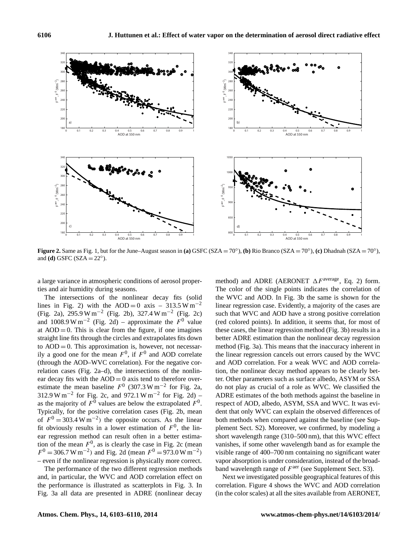

**Figure 2.** Same as Fig. 1, but for the June–August season in (a) GSFC (SZA = 70°), (b) Rio Branco (SZA = 70°), (c) Dhadnah (SZA = 70°), and **(d)** GSFC (SZA =  $22^\circ$ ).

a large variance in atmospheric conditions of aerosol properties and air humidity during seasons.

The intersections of the nonlinear decay fits (solid lines in Fig. 2) with the AOD = 0 axis – 313.5 W m<sup>-2</sup> (Fig. 2a), 295.9 W m−<sup>2</sup> (Fig. 2b), 327.4 W m−<sup>2</sup> (Fig. 2c) and 1008.9 W m<sup>-2</sup> (Fig. 2d) – approximate the  $F^0$  value at  $AOD = 0$ . This is clear from the figure, if one imagines straight line fits through the circles and extrapolates fits down to  $AOD = 0$ . This approximation is, however, not necessarily a good one for the mean  $F^0$ , if  $F^0$  and AOD correlate (through the AOD–WVC correlation). For the negative correlation cases (Fig. 2a–d), the intersections of the nonlinear decay fits with the  $AOD = 0$  axis tend to therefore overestimate the mean baseline  $F^0$  (307.3 W m<sup>-2</sup> for Fig. 2a, 312.9 W m<sup>-2</sup> for Fig. 2c, and 972.1 W m<sup>-2</sup> for Fig. 2d) – as the majority of  $F^0$  values are below the extrapolated  $F^0$ . Typically, for the positive correlation cases (Fig. 2b, mean of  $F^0 = 303.4 \text{ W m}^{-2}$  the opposite occurs. As the linear fit obviously results in a lower estimation of  $F^0$ , the linear regression method can result often in a better estimation of the mean  $F^0$ , as is clearly the case in Fig. 2c (mean  $F^{0} = 306.7 \text{ W m}^{-2}$  and Fig. 2d (mean  $F^{0} = 973.0 \text{ W m}^{-2}$ ) – even if the nonlinear regression is physically more correct.

The performance of the two different regression methods and, in particular, the WVC and AOD correlation effect on the performance is illustrated as scatterplots in Fig. 3. In Fig. 3a all data are presented in ADRE (nonlinear decay method) and ADRE (AERONET  $\Delta F^{\text{average}}$ , Eq. 2) form. The color of the single points indicates the correlation of the WVC and AOD. In Fig. 3b the same is shown for the linear regression case. Evidently, a majority of the cases are such that WVC and AOD have a strong positive correlation (red colored points). In addition, it seems that, for most of these cases, the linear regression method (Fig. 3b) results in a better ADRE estimation than the nonlinear decay regression method (Fig. 3a). This means that the inaccuracy inherent in the linear regression cancels out errors caused by the WVC and AOD correlation. For a weak WVC and AOD correlation, the nonlinear decay method appears to be clearly better. Other parameters such as surface albedo, ASYM or SSA do not play as crucial of a role as WVC. We classified the ADRE estimates of the both methods against the baseline in respect of AOD, albedo, ASYM, SSA and WVC. It was evident that only WVC can explain the observed differences of both methods when compared against the baseline (see Supplement Sect. S2). Moreover, we confirmed, by modeling a short wavelength range (310–500 nm), that this WVC effect vanishes, if some other wavelength band as for example the visible range of 400–700 nm containing no significant water vapor absorption is under consideration, instead of the broadband wavelength range of  $F^{\text{aer}}$  (see Supplement Sect. S3).

Next we investigated possible geographical features of this correlation. Figure 4 shows the WVC and AOD correlation (in the color scales) at all the sites available from AERONET,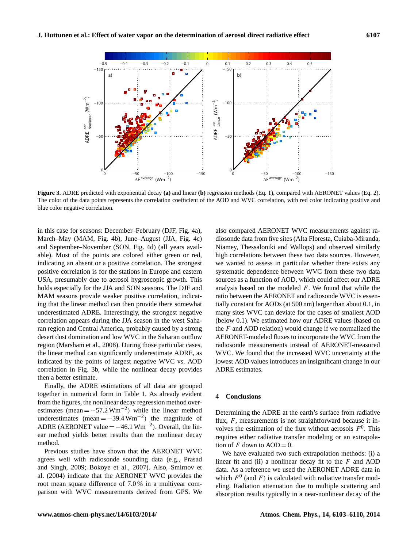

**Figure 3.** ADRE predicted with exponential decay **(a)** and linear **(b)** regression methods (Eq. 1), compared with AERONET values (Eq. 2). The color of the data points represents the correlation coefficient of the AOD and WVC correlation, with red color indicating positive and blue color negative correlation.

in this case for seasons: December–February (DJF, Fig. 4a), March–May (MAM, Fig. 4b), June–August (JJA, Fig. 4c) and September–November (SON, Fig. 4d) (all years available). Most of the points are colored either green or red, indicating an absent or a positive correlation. The strongest positive correlation is for the stations in Europe and eastern USA, presumably due to aerosol hygroscopic growth. This holds especially for the JJA and SON seasons. The DJF and MAM seasons provide weaker positive correlation, indicating that the linear method can then provide there somewhat underestimated ADRE. Interestingly, the strongest negative correlation appears during the JJA season in the west Saharan region and Central America, probably caused by a strong desert dust domination and low WVC in the Saharan outflow region (Marsham et al., 2008). During those particular cases, the linear method can significantly underestimate ADRE, as indicated by the points of largest negative WVC vs. AOD correlation in Fig. 3b, while the nonlinear decay provides then a better estimate.

Finally, the ADRE estimations of all data are grouped together in numerical form in Table 1. As already evident from the figures, the nonlinear decay regression method overestimates (mean =  $-57.2 \text{ Wm}^{-2}$ ) while the linear method underestimates (mean =  $-39.4 \text{ Wm}^{-2}$ ) the magnitude of ADRE (AERONET value =  $-46.1 \text{ Wm}^{-2}$ ). Overall, the linear method yields better results than the nonlinear decay method.

Previous studies have shown that the AERONET WVC agrees well with radiosonde sounding data (e.g., Prasad and Singh, 2009; Bokoye et al., 2007). Also, Smirnov et al. (2004) indicate that the AERONET WVC provides the root mean square difference of 7.0 % in a multiyear comparison with WVC measurements derived from GPS. We also compared AERONET WVC measurements against radiosonde data from five sites (Alta Floresta, Cuiaba-Miranda, Niamey, Thessaloniki and Wallops) and observed similarly high correlations between these two data sources. However, we wanted to assess in particular whether there exists any systematic dependence between WVC from these two data sources as a function of AOD, which could affect our ADRE analysis based on the modeled  $F$ . We found that while the ratio between the AERONET and radiosonde WVC is essentially constant for AODs (at 500 nm) larger than about 0.1, in many sites WVC can deviate for the cases of smallest AOD (below 0.1). We estimated how our ADRE values (based on the  $F$  and AOD relation) would change if we normalized the AERONET-modeled fluxes to incorporate the WVC from the radiosonde measurements instead of AERONET-measured WVC. We found that the increased WVC uncertainty at the lowest AOD values introduces an insignificant change in our ADRE estimates.

## **4 Conclusions**

Determining the ADRE at the earth's surface from radiative flux,  $F$ , measurements is not straightforward because it involves the estimation of the flux without aerosols  $F^0$ . This requires either radiative transfer modeling or an extrapolation of F down to  $AOD = 0$ .

We have evaluated two such extrapolation methods: (i) a linear fit and (ii) a nonlinear decay fit to the  $F$  and AOD data. As a reference we used the AERONET ADRE data in which  $F^0$  (and F) is calculated with radiative transfer modeling. Radiation attenuation due to multiple scattering and absorption results typically in a near-nonlinear decay of the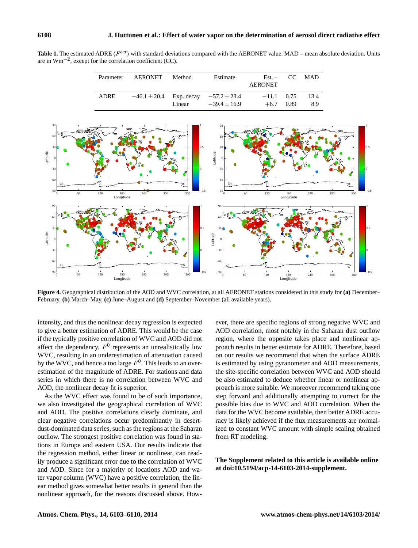Table 1. The estimated ADRE ( $F^{aer}$ ) with standard deviations compared with the AERONET value. MAD – mean absolute deviation. Units are in  $Wm^{-2}$ , except for the correlation coefficient (CC).

| Parameter   | AERONET | Method | Estimate                                                         | $Est. - CC MAD$<br>AERONET |      |             |
|-------------|---------|--------|------------------------------------------------------------------|----------------------------|------|-------------|
| <b>ADRE</b> |         | Linear | $-46.1 \pm 20.4$ Exp. decay $-57.2 \pm 23.4$<br>$-39.4 \pm 16.9$ | $-11.1$ 0.75<br>$+6.7$     | 0.89 | 13.4<br>8.9 |



**Figure 4.** Geographical distribution of the AOD and WVC correlation, at all AERONET stations considered in this study for **(a)** December– February, **(b)** March–May, **(c)** June–August and **(d)** September–November (all available years).

intensity, and thus the nonlinear decay regression is expected to give a better estimation of ADRE. This would be the case if the typically positive correlation of WVC and AOD did not affect the dependency.  $F^0$  represents an unrealistically low WVC, resulting in an underestimation of attenuation caused by the WVC, and hence a too large  $F^0$ . This leads to an overestimation of the magnitude of ADRE. For stations and data series in which there is no correlation between WVC and AOD, the nonlinear decay fit is superior.

As the WVC effect was found to be of such importance, we also investigated the geographical correlation of WVC and AOD. The positive correlations clearly dominate, and clear negative correlations occur predominantly in desertdust-dominated data series, such as the regions at the Saharan outflow. The strongest positive correlation was found in stations in Europe and eastern USA. Our results indicate that the regression method, either linear or nonlinear, can readily produce a significant error due to the correlation of WVC and AOD. Since for a majority of locations AOD and water vapor column (WVC) have a positive correlation, the linear method gives somewhat better results in general than the nonlinear approach, for the reasons discussed above. However, there are specific regions of strong negative WVC and AOD correlation, most notably in the Saharan dust outflow region, where the opposite takes place and nonlinear approach results in better estimate for ADRE. Therefore, based on our results we recommend that when the surface ADRE is estimated by using pyranometer and AOD measurements, the site-specific correlation between WVC and AOD should be also estimated to deduce whether linear or nonlinear approach is more suitable. We moreover recommend taking one step forward and additionally attempting to correct for the possible bias due to WVC and AOD correlation. When the data for the WVC become available, then better ADRE accuracy is likely achieved if the flux measurements are normalized to constant WVC amount with simple scaling obtained from RT modeling.

**The Supplement related to this article is available online at [doi:10.5194/acp-14-6103-2014-supplement.](http://dx.doi.org/10.5194/acp-14-6103-2014-supplement)**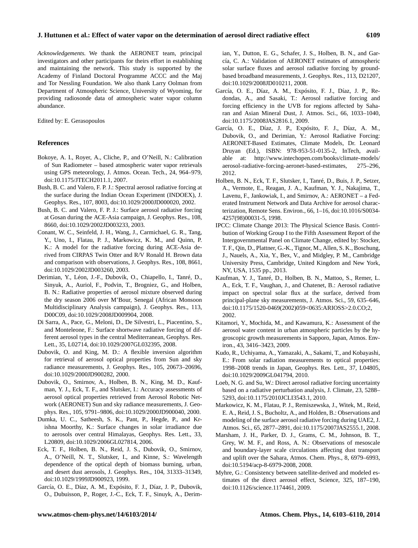*Acknowledgements.* We thank the AERONET team, principal investigators and other participants for theirs effort in establishing and maintaining the network. This study is supported by the Academy of Finland Doctoral Programme ACCC and the Maj and Tor Nessling Foundation. We also thank Larry Oolman from Department of Atmospheric Science, University of Wyoming, for providing radiosonde data of atmospheric water vapor column abundance.

Edited by: E. Gerasopoulos

### **References**

- Bokoye, A. I., Royer, A., Cliche, P., and O'Neill, N.: Calibration of Sun Radiometer – based atmospheric water vapor retrievals using GPS meteorology, J. Atmos. Ocean. Tech., 24, 964–979, doi[:10.1175/JTECH2011.1,](http://dx.doi.org/10.1175/JTECH2011.1) 2007.
- Bush, B. C. and Valero, F. P. J.: Spectral aerosol radiative forcing at the surface during the Indian Ocean Experiment (INDOEX), J. Geophys. Res., 107, 8003, doi[:10.1029/2000JD000020,](http://dx.doi.org/10.1029/2000JD000020) 2002.
- Bush, B. C. and Valero, F. P. J.: Surface aerosol radiative forcing at Gosan during the ACE-Asia campaign, J. Geophys. Res., 108, 8660, doi[:10.1029/2002JD003233,](http://dx.doi.org/10.1029/2002JD003233) 2003.
- Conant, W. C., Seinfeld, J. H., Wang, J., Carmichael, G. R., Tang, Y., Uno, I., Flatau, P. J., Markowicz, K. M., and Quinn, P. K.: A model for the radiative forcing during ACE-Asia derived from CIRPAS Twin Otter and R/V Ronald H. Brown data and comparison with observations, J. Geophys. Res., 108, 8661, doi[:10.1029/2002JD003260,](http://dx.doi.org/10.1029/2002JD003260) 2003.
- Derimian, Y., Léon, J.-F., Dubovik, O., Chiapello, I., Tanré, D., Sinyuk, A., Auriol, F., Podvin, T., Brogniez, G., and Holben, B. N.: Radiative properties of aerosol mixture observed during the dry season 2006 over M'Bour, Senegal (African Monsoon Multidisciplinary Analysis campaign), J. Geophys. Res., 113, D00C09, doi[:10.1029/2008JD009904,](http://dx.doi.org/10.1029/2008JD009904) 2008.
- Di Sarra, A., Pace, G., Meloni, D., De Silvestri, L., Piacentino, S., and Monteleone, F.: Surface shortwave radiative forcing of different aerosol types in the central Mediterranean, Geophys. Res. Lett., 35, L02714, doi[:10.1029/2007GL032395,](http://dx.doi.org/10.1029/2007GL032395) 2008.
- Dubovik, O. and King, M. D.: A flexible inversion algorithm for retrieval of aerosol optical properties from Sun and sky radiance measurements, J. Geophys. Res., 105, 20673–20696, doi[:10.1029/2000JD900282,](http://dx.doi.org/10.1029/2000JD900282) 2000.
- Dubovik, O., Smirnov, A., Holben, B. N., King, M. D., Kaufman, Y. J., Eck, T. F., and Slutsker, I.: Accuracy assessments of aerosol optical properties retrieved from Aerosol Robotic Network (AERONET) Sun and sky radiance measurements, J. Geophys. Res., 105, 9791–9806, doi[:10.1029/2000JD900040,](http://dx.doi.org/10.1029/2000JD900040) 2000.
- Dumka, U. C., Satheesh, S. K., Pant, P., Hegde, P., and Krishna Moorthy, K.: Surface changes in solar irradiance due to aerosols over central Himalayas, Geophys. Res. Lett., 33, L20809, doi[:10.1029/2006GL027814,](http://dx.doi.org/10.1029/2006GL027814) 2006.
- Eck, T. F., Holben, B. N., Reid, J. S., Dubovik, O., Smirnov, A., O'Neill, N. T., Slutsker, I., and Kinne, S.: Wavelength dependence of the optical depth of biomass burning, urban, and desert dust aerosols, J. Geophys. Res., 104, 31333–31349, doi[:10.1029/1999JD900923,](http://dx.doi.org/10.1029/1999JD900923) 1999.
- García, O. E., Díaz, A. M., Expósito, F. J., Díaz, J. P., Dubovik, O., Dubuisson, P., Roger, J.-C., Eck, T. F., Sinuyk, A., Derim-

ian, Y., Dutton, E. G., Schafer, J. S., Holben, B. N., and García, C. A.: Validation of AERONET estimates of atmospheric solar surface fluxes and aerosol radiative forcing by groundbased broadband measurements, J. Geophys. Res., 113, D21207, doi[:10.1029/2008JD010211,](http://dx.doi.org/10.1029/2008JD010211) 2008.

- García, O. E., Díaz, A. M., Expósito, F. J., Díaz, J. P., Redondas, A., and Sasaki, T.: Aerosol radiative forcing and forcing efficiency in the UVB for regions affected by Saharan and Asian Mineral Dust, J. Atmos. Sci., 66, 1033–1040, doi[:10.1175/2008JAS2816.1,](http://dx.doi.org/10.1175/2008JAS2816.1) 2009.
- García, O. E., Díaz, J. P., Expósito, F. J., Díaz, A. M., Dubovik, O., and Derimian, Y.: Aerosol Radiative Forcing: AERONET-Based Estimates, Climate Models, Dr. Leonard Druyan (Ed.), ISBN: 978-953-51-0135-2, InTech, available at: [http://www.intechopen.com/books/climate-models/](http://www.intechopen.com/books/climate-models/aerosol-radiative-forcing-aeronet-based-estimates) [aerosol-radiative-forcing-aeronet-based-estimates,](http://www.intechopen.com/books/climate-models/aerosol-radiative-forcing-aeronet-based-estimates) 275–296, 2012.
- Holben, B. N., Eck, T. F., Slutsker, I., Tanré, D., Buis, J. P., Setzer, A., Vermote, E., Reagan, J. A., Kaufman, Y. J., Nakajima, T., Lavenu, F., Jankowiak, I., and Smirnov, A.: AERONET – a Federated Instrument Network and Data Archive for aerosol characterization, Remote Sens. Environ., 66, 1–16, doi[:10.1016/S0034-](http://dx.doi.org/10.1016/S0034-4257(98)00031-5) [4257\(98\)00031-5,](http://dx.doi.org/10.1016/S0034-4257(98)00031-5) 1998.
- IPCC: Climate Change 2013: The Physical Science Basis. Contribution of Working Group I to the Fifth Assessment Report of the Intergovernmental Panel on Climate Change, edited by: Stocker, T. F., Qin, D., Plattner, G.-K., Tignor, M., Allen, S. K., Boschung, J., Nauels, A., Xia, Y., Bex, V., and Midgley, P. M., Cambridge University Press, Cambridge, United Kingdom and New York, NY, USA, 1535 pp., 2013.
- Kaufman, Y. J., Tanré, D., Holben, B. N., Mattoo, S., Remer, L. A., Eck, T. F., Vaughan, J., and Chatenet, B.: Aerosol radiative impact on spectral solar flux at the surface, derived from principal-plane sky measurements, J. Atmos. Sci., 59, 635–646, doi[:10.1175/1520-0469\(2002\)059<0635:ARIOSS>2.0.CO;2,](http://dx.doi.org/10.1175/1520-0469(2002)059%3C0635:ARIOSS%3E2.0.CO;2) 2002.
- Kitamori, Y., Mochida, M., and Kawamura, K.: Assessment of the aerosol water content in urban atmospheric particles by the hygroscopic growth measurements in Sapporo, Japan, Atmos. Environ., 43, 3416–3423, 2009.
- Kudo, R., Uchiyama, A., Yamazaki, A., Sakami, T., and Kobayashi, E.: From solar radiation measurements to optical properties: 1998–2008 trends in Japan, Geophys. Res. Lett., 37, L04805, doi[:10.1029/2009GL041794,](http://dx.doi.org/10.1029/2009GL041794) 2010.
- Loeb, N. G. and Su, W.: Direct aerosol radiative forcing uncertainty based on a radiative perturbation analysis, J. Climate, 23, 5288– 5293, doi[:10.1175/2010JCLI3543.1,](http://dx.doi.org/10.1175/2010JCLI3543.1) 2010.
- Markowicz, K. M., Flatau, P. J., Remiszewska, J., Witek, M., Reid, E. A., Reid, J. S., Bucholtz, A., and Holden, B.: Observations and modeling of the surface aerosol radiative forcing during UAE2, J. Atmos. Sci., 65, 2877–2891, doi[:10.1175/2007JAS2555.1,](http://dx.doi.org/10.1175/2007JAS2555.1) 2008.
- Marsham, J. H., Parker, D. J., Grams, C. M., Johnson, B. T., Grey, W. M. F., and Ross, A. N.: Observations of mesoscale and boundary-layer scale circulations affecting dust transport and uplift over the Sahara, Atmos. Chem. Phys., 8, 6979–6993, doi[:10.5194/acp-8-6979-2008,](http://dx.doi.org/10.5194/acp-8-6979-2008) 2008.
- Myhre, G.: Consistency between satellite-derived and modeled estimates of the direct aerosol effect, Science, 325, 187–190, doi[:10.1126/science.1174461,](http://dx.doi.org/10.1126/science.1174461) 2009.